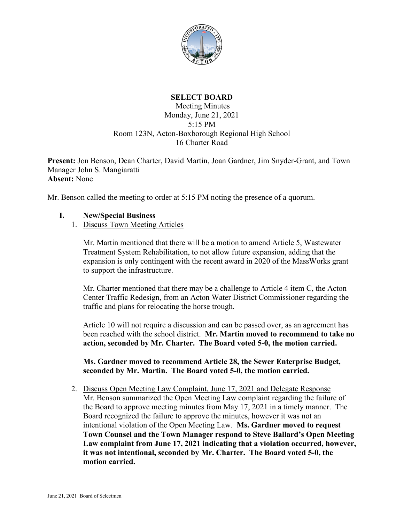

## **SELECT BOARD**

## Meeting Minutes Monday, June 21, 2021 5:15 PM Room 123N, Acton-Boxborough Regional High School 16 Charter Road

**Present:** Jon Benson, Dean Charter, David Martin, Joan Gardner, Jim Snyder-Grant, and Town Manager John S. Mangiaratti **Absent:** None

Mr. Benson called the meeting to order at 5:15 PM noting the presence of a quorum.

## **I. New/Special Business**

1. Discuss Town Meeting Articles

Mr. Martin mentioned that there will be a motion to amend Article 5, Wastewater Treatment System Rehabilitation, to not allow future expansion, adding that the expansion is only contingent with the recent award in 2020 of the MassWorks grant to support the infrastructure.

Mr. Charter mentioned that there may be a challenge to Article 4 item C, the Acton Center Traffic Redesign, from an Acton Water District Commissioner regarding the traffic and plans for relocating the horse trough.

Article 10 will not require a discussion and can be passed over, as an agreement has been reached with the school district. **Mr. Martin moved to recommend to take no action, seconded by Mr. Charter. The Board voted 5-0, the motion carried.**

**Ms. Gardner moved to recommend Article 28, the Sewer Enterprise Budget, seconded by Mr. Martin. The Board voted 5-0, the motion carried.**

2. Discuss Open Meeting Law Complaint, June 17, 2021 and Delegate Response Mr. Benson summarized the Open Meeting Law complaint regarding the failure of the Board to approve meeting minutes from May 17, 2021 in a timely manner. The Board recognized the failure to approve the minutes, however it was not an intentional violation of the Open Meeting Law. **Ms. Gardner moved to request Town Counsel and the Town Manager respond to Steve Ballard's Open Meeting Law complaint from June 17, 2021 indicating that a violation occurred, however, it was not intentional, seconded by Mr. Charter. The Board voted 5-0, the motion carried.**